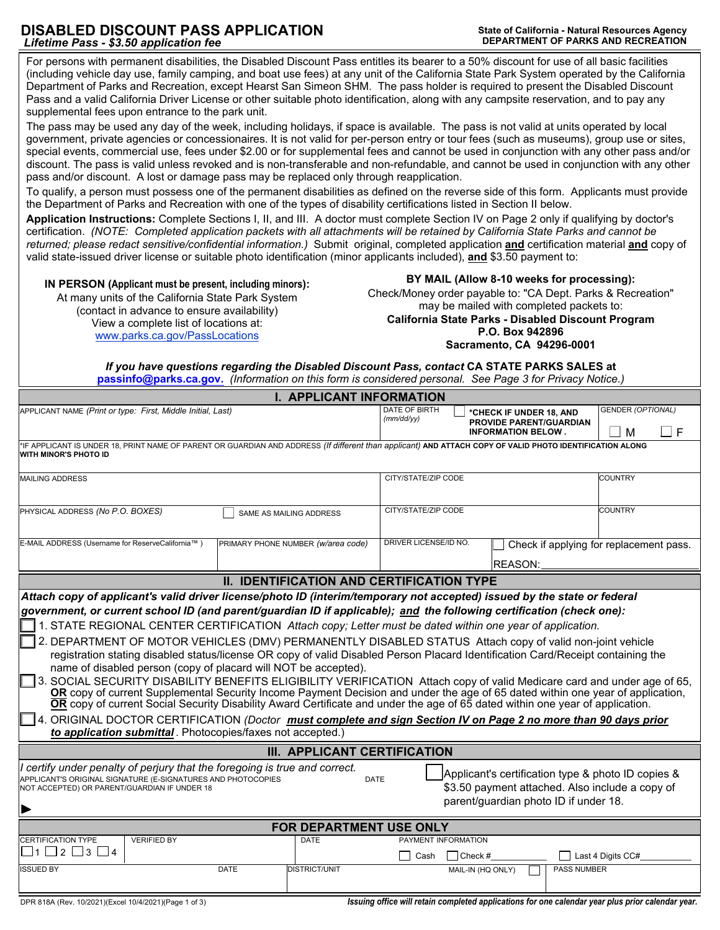## **DISABLED DISCOUNT PASS APPLICATION**<br> *I* ifetime Pass - \$3.50 application fee<br>
DEPARTMENT OF PARKS AND RECREATION **Lifetime Pass - \$3.50 application fee**

 (including vehicle day use, family camping, and boat use fees) at any unit of the California State Park System operated by the California For persons with permanent disabilities, the Disabled Discount Pass entitles its bearer to a 50% discount for use of all basic facilities Department of Parks and Recreation, except Hearst San Simeon SHM. The pass holder is required to present the Disabled Discount Pass and a valid California Driver License or other suitable photo identification, along with any campsite reservation, and to pay any supplemental fees upon entrance to the park unit.

 The pass may be used any day of the week, including holidays, if space is available. The pass is not valid at units operated by local government, private agencies or concessionaires. It is not valid for per-person entry or tour fees (such as museums), group use or sites, special events, commercial use, fees under \$2.00 or for supplemental fees and cannot be used in conjunction with any other pass and/or discount. The pass is valid unless revoked and is non-transferable and non-refundable, and cannot be used in conjunction with any other pass and/or discount. A lost or damage pass may be replaced only through reapplication.

To qualify, a person must possess one of the permanent disabilities as defined on the reverse side of this form. Applicants must provide the Department of Parks and Recreation with one of the types of disability certifications listed in Section II below.

**Application Instructions:** Complete Sections I, II, and III. A doctor must complete Section IV on Page 2 only if qualifying by doctor's certification. *(NOTE: Completed application packets with all attachments will be retained by California State Parks and cannot be returned; please redact sensitive/confidential information.)* Submit original, completed application **and** certification material **and** copy of valid state-issued driver license or suitable photo identification (minor applicants included), **and** \$3.50 payment to:

www.parks.ca.gov/PassLocations

IN PERSON (Applicant must be present, including minors):<br>
At many units of the California State Park System<br>
(contact in advance to ensure availability)<br>
View a complete list of locations at:<br>
Check/Money order payable to: California State Parks - Disabled Discount Program<br>P.O. Box 942896 **Sacramento, CA 94296-0001** 

*If you have questions regarding the Disabled Discount Pass, contact* **CA STATE PARKS SALES at [passinfo@parks.ca.gov.](mailto:passinfo@parks.ca.gov)** *(Information on this form is considered personal. See Page 3 for Privacy Notice.)* 

| <b>I. APPLICANT INFORMATION</b>                                                                                                                                                                                                                                                                                                                                                                                                                                                                                                                                                                                                                                                                                                                                                                                                                                                                                                                                                                                                                                                                                                                                                                                                                                                |      |                                    |                             |                                                                                                                                                |                                                                                        |                    |                                         |   |
|--------------------------------------------------------------------------------------------------------------------------------------------------------------------------------------------------------------------------------------------------------------------------------------------------------------------------------------------------------------------------------------------------------------------------------------------------------------------------------------------------------------------------------------------------------------------------------------------------------------------------------------------------------------------------------------------------------------------------------------------------------------------------------------------------------------------------------------------------------------------------------------------------------------------------------------------------------------------------------------------------------------------------------------------------------------------------------------------------------------------------------------------------------------------------------------------------------------------------------------------------------------------------------|------|------------------------------------|-----------------------------|------------------------------------------------------------------------------------------------------------------------------------------------|----------------------------------------------------------------------------------------|--------------------|-----------------------------------------|---|
| APPLICANT NAME (Print or type: First, Middle Initial, Last)                                                                                                                                                                                                                                                                                                                                                                                                                                                                                                                                                                                                                                                                                                                                                                                                                                                                                                                                                                                                                                                                                                                                                                                                                    |      |                                    | DATE OF BIRTH<br>(mm/dd/yy) |                                                                                                                                                | *CHECK IF UNDER 18, AND<br><b>PROVIDE PARENT/GUARDIAN</b><br><b>INFORMATION BELOW.</b> |                    | GENDER (OPTIONAL)<br>M                  | F |
| *IF APPLICANT IS UNDER 18, PRINT NAME OF PARENT OR GUARDIAN AND ADDRESS (If different than applicant) AND ATTACH COPY OF VALID PHOTO IDENTIFICATION ALONG<br>WITH MINOR'S PHOTO ID                                                                                                                                                                                                                                                                                                                                                                                                                                                                                                                                                                                                                                                                                                                                                                                                                                                                                                                                                                                                                                                                                             |      |                                    |                             |                                                                                                                                                |                                                                                        |                    |                                         |   |
| <b>MAILING ADDRESS</b>                                                                                                                                                                                                                                                                                                                                                                                                                                                                                                                                                                                                                                                                                                                                                                                                                                                                                                                                                                                                                                                                                                                                                                                                                                                         |      |                                    |                             | CITY/STATE/ZIP CODE                                                                                                                            |                                                                                        |                    | <b>COUNTRY</b>                          |   |
| PHYSICAL ADDRESS (No P.O. BOXES)                                                                                                                                                                                                                                                                                                                                                                                                                                                                                                                                                                                                                                                                                                                                                                                                                                                                                                                                                                                                                                                                                                                                                                                                                                               |      | SAME AS MAILING ADDRESS            | CITY/STATE/ZIP CODE         |                                                                                                                                                |                                                                                        |                    | <b>COUNTRY</b>                          |   |
| E-MAIL ADDRESS (Username for ReserveCalifornia™)                                                                                                                                                                                                                                                                                                                                                                                                                                                                                                                                                                                                                                                                                                                                                                                                                                                                                                                                                                                                                                                                                                                                                                                                                               |      | PRIMARY PHONE NUMBER (w/area code) | DRIVER LICENSE/ID NO.       |                                                                                                                                                |                                                                                        |                    | Check if applying for replacement pass. |   |
|                                                                                                                                                                                                                                                                                                                                                                                                                                                                                                                                                                                                                                                                                                                                                                                                                                                                                                                                                                                                                                                                                                                                                                                                                                                                                |      |                                    | <b>REASON:</b>              |                                                                                                                                                |                                                                                        |                    |                                         |   |
| <b>II. IDENTIFICATION AND CERTIFICATION TYPE</b>                                                                                                                                                                                                                                                                                                                                                                                                                                                                                                                                                                                                                                                                                                                                                                                                                                                                                                                                                                                                                                                                                                                                                                                                                               |      |                                    |                             |                                                                                                                                                |                                                                                        |                    |                                         |   |
| Attach copy of applicant's valid driver license/photo ID (interim/temporary not accepted) issued by the state or federal<br>government, or current school ID (and parent/guardian ID if applicable); and the following certification (check one):<br>1. STATE REGIONAL CENTER CERTIFICATION Attach copy; Letter must be dated within one year of application.<br>2. DEPARTMENT OF MOTOR VEHICLES (DMV) PERMANENTLY DISABLED STATUS Attach copy of valid non-joint vehicle<br>registration stating disabled status/license OR copy of valid Disabled Person Placard Identification Card/Receipt containing the<br>name of disabled person (copy of placard will NOT be accepted).<br>3. SOCIAL SECURITY DISABILITY BENEFITS ELIGIBILITY VERIFICATION  Attach copy of valid Medicare card and under age of 65,<br>OR copy of current Supplemental Security Income Payment Decision and under the age of 65 dated within one year of application,<br>OR copy of current Social Security Disability Award Certificate and under the age of 65 dated within one year of application.<br>4. ORIGINAL DOCTOR CERTIFICATION <i>(Doctor <u>must complete and sign Section IV on Page 2 no more than 90 days prior</u></i><br>to application submittal. Photocopies/faxes not accepted.) |      |                                    |                             |                                                                                                                                                |                                                                                        |                    |                                         |   |
| <b>III. APPLICANT CERTIFICATION</b>                                                                                                                                                                                                                                                                                                                                                                                                                                                                                                                                                                                                                                                                                                                                                                                                                                                                                                                                                                                                                                                                                                                                                                                                                                            |      |                                    |                             |                                                                                                                                                |                                                                                        |                    |                                         |   |
| I certify under penalty of perjury that the foregoing is true and correct.<br>APPLICANT'S ORIGINAL SIGNATURE (E-SIGNATURES AND PHOTOCOPIES<br><b>DATE</b><br>NOT ACCEPTED) OR PARENT/GUARDIAN IF UNDER 18                                                                                                                                                                                                                                                                                                                                                                                                                                                                                                                                                                                                                                                                                                                                                                                                                                                                                                                                                                                                                                                                      |      |                                    |                             | Applicant's certification type & photo ID copies &<br>\$3.50 payment attached. Also include a copy of<br>parent/guardian photo ID if under 18. |                                                                                        |                    |                                         |   |
| FOR DEPARTMENT USE ONLY                                                                                                                                                                                                                                                                                                                                                                                                                                                                                                                                                                                                                                                                                                                                                                                                                                                                                                                                                                                                                                                                                                                                                                                                                                                        |      |                                    |                             |                                                                                                                                                |                                                                                        |                    |                                         |   |
| <b>CERTIFICATION TYPE</b><br><b>VERIFIED BY</b><br>$\Box$ 1 $\Box$ 2 $\Box$ 3 $\Box$ 4                                                                                                                                                                                                                                                                                                                                                                                                                                                                                                                                                                                                                                                                                                                                                                                                                                                                                                                                                                                                                                                                                                                                                                                         |      | <b>DATE</b>                        | Cash                        | PAYMENT INFORMATION<br>$ Check\#$                                                                                                              |                                                                                        |                    | Last 4 Digits CC#                       |   |
| <b>ISSUED BY</b>                                                                                                                                                                                                                                                                                                                                                                                                                                                                                                                                                                                                                                                                                                                                                                                                                                                                                                                                                                                                                                                                                                                                                                                                                                                               | DATE | <b>DISTRICT/UNIT</b>               |                             | MAIL-IN (HQ ONLY)                                                                                                                              |                                                                                        | <b>PASS NUMBER</b> |                                         |   |

DPR 818A (Rev. 10/2021)(Excel 10/4/2021)(Page 1 of 3) **Interval 20 and 20 and 20 applications for one calendar year plus prior calendar year.** Intervalsed applications for one calendar year plus prior calendar year.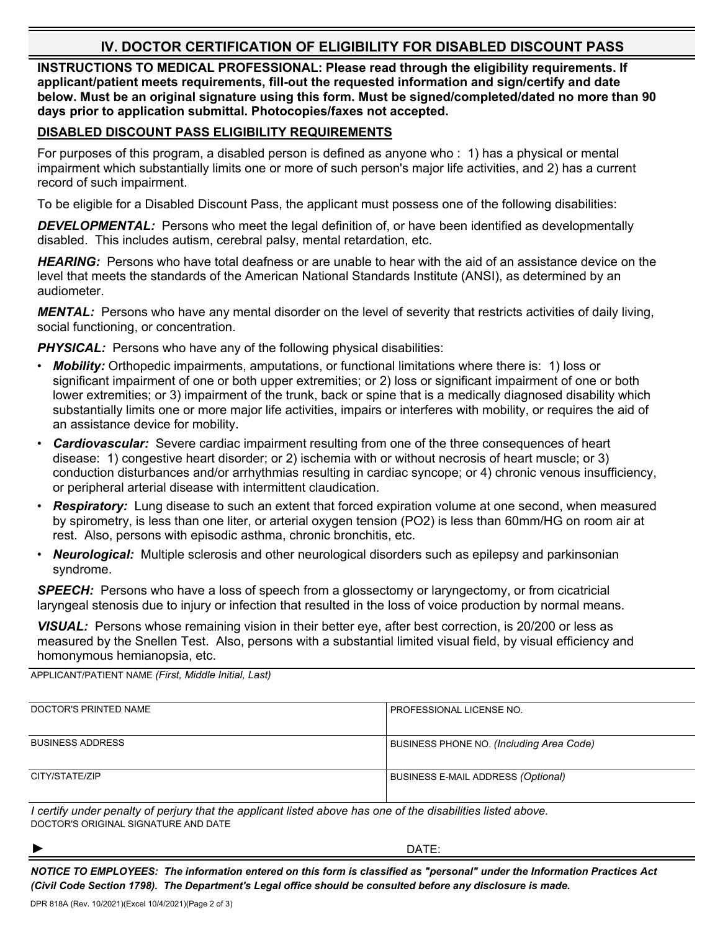## **IV. DOCTOR CERTIFICATION OF ELIGIBILITY FOR DISABLED DISCOUNT PASS**

**INSTRUCTIONS TO MEDICAL PROFESSIONAL: Please read through the eligibility requirements. If applicant/patient meets requirements, fill-out the requested information and sign/certify and date below. Must be an original signature using this form. Must be signed/completed/dated no more than 90 days prior to application submittal. Photocopies/faxes not accepted.** 

## **DISABLED DISCOUNT PASS ELIGIBILITY REQUIREMENTS**

For purposes of this program, a disabled person is defined as anyone who : 1) has a physical or mental impairment which substantially limits one or more of such person's major life activities, and 2) has a current record of such impairment.

To be eligible for a Disabled Discount Pass, the applicant must possess one of the following disabilities:

**DEVELOPMENTAL:** Persons who meet the legal definition of, or have been identified as developmentally disabled. This includes autism, cerebral palsy, mental retardation, etc.

*HEARING:* Persons who have total deafness or are unable to hear with the aid of an assistance device on the level that meets the standards of the American National Standards Institute (ANSI), as determined by an audiometer.

*MENTAL:* Persons who have any mental disorder on the level of severity that restricts activities of daily living, social functioning, or concentration.

**PHYSICAL:** Persons who have any of the following physical disabilities:

- *Mobility:* Orthopedic impairments, amputations, or functional limitations where there is: 1) loss or significant impairment of one or both upper extremities; or 2) loss or significant impairment of one or both lower extremities; or 3) impairment of the trunk, back or spine that is a medically diagnosed disability which substantially limits one or more major life activities, impairs or interferes with mobility, or requires the aid of an assistance device for mobility.
- *Cardiovascular:* Severe cardiac impairment resulting from one of the three consequences of heart disease: 1) congestive heart disorder; or 2) ischemia with or without necrosis of heart muscle; or 3) conduction disturbances and/or arrhythmias resulting in cardiac syncope; or 4) chronic venous insufficiency, or peripheral arterial disease with intermittent claudication.
- *Respiratory:* Lung disease to such an extent that forced expiration volume at one second, when measured by spirometry, is less than one liter, or arterial oxygen tension (PO2) is less than 60mm/HG on room air at rest. Also, persons with episodic asthma, chronic bronchitis, etc.
- *Neurological:* Multiple sclerosis and other neurological disorders such as epilepsy and parkinsonian syndrome.

**SPEECH:** Persons who have a loss of speech from a glossectomy or laryngectomy, or from cicatricial laryngeal stenosis due to injury or infection that resulted in the loss of voice production by normal means.

*VISUAL:* Persons whose remaining vision in their better eye, after best correction, is 20/200 or less as measured by the Snellen Test. Also, persons with a substantial limited visual field, by visual efficiency and homonymous hemianopsia, etc.

APPLICANT/PATIENT NAME *(First, Middle Initial, Last)* 

| DOCTOR'S PRINTED NAME   | <b>PROFESSIONAL LICENSE NO.</b>           |
|-------------------------|-------------------------------------------|
| <b>BUSINESS ADDRESS</b> | BUSINESS PHONE NO. (Including Area Code)  |
| CITY/STATE/ZIP          | <b>BUSINESS E-MAIL ADDRESS (Optional)</b> |

*I certify under penalty of perjury that the applicant listed above has one of the disabilities listed above.*  DOCTOR'S ORIGINAL SIGNATURE AND DATE

► DATE:

*NOTICE TO EMPLOYEES: The information entered on this form is classified as "personal" under the Information Practices Act (Civil Code Section 1798). The Department's Legal office should be consulted before any disclosure is made.*